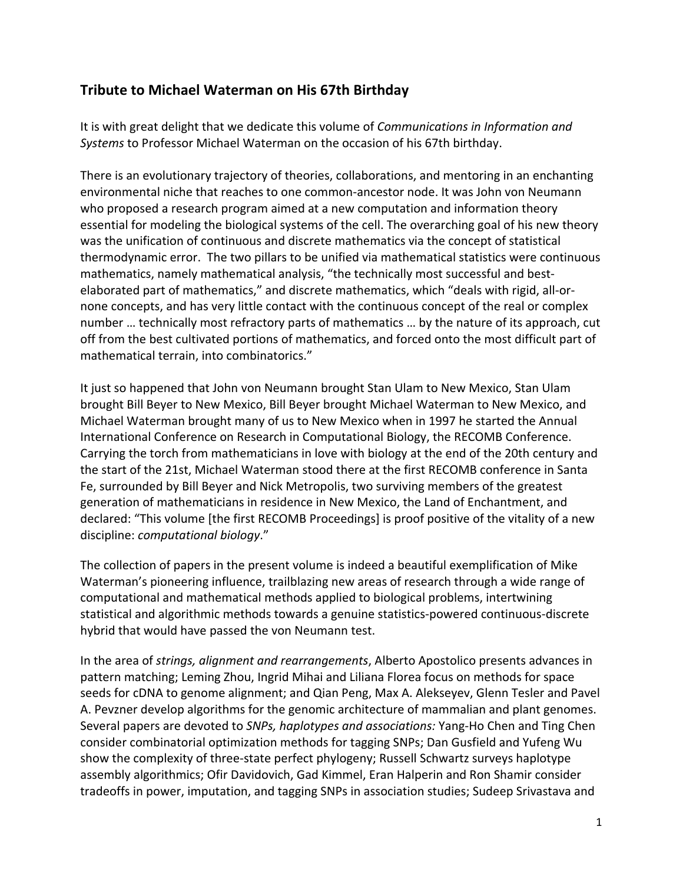## **Tribute to Michael Waterman on His 67th Birthday**

It is with great delight that we dedicate this volume of *Communications in Information and Systems* to Professor Michael Waterman on the occasion of his 67th birthday.

There is an evolutionary trajectory of theories, collaborations, and mentoring in an enchanting environmental niche that reaches to one common-ancestor node. It was John von Neumann who proposed a research program aimed at a new computation and information theory essential for modeling the biological systems of the cell. The overarching goal of his new theory was the unification of continuous and discrete mathematics via the concept of statistical thermodynamic error. The two pillars to be unified via mathematical statistics were continuous mathematics, namely mathematical analysis, "the technically most successful and bestelaborated part of mathematics," and discrete mathematics, which "deals with rigid, all-ornone concepts, and has very little contact with the continuous concept of the real or complex number … technically most refractory parts of mathematics … by the nature of its approach, cut off from the best cultivated portions of mathematics, and forced onto the most difficult part of mathematical terrain, into combinatorics."

It just so happened that John von Neumann brought Stan Ulam to New Mexico, Stan Ulam brought Bill Beyer to New Mexico, Bill Beyer brought Michael Waterman to New Mexico, and Michael Waterman brought many of us to New Mexico when in 1997 he started the Annual International Conference on Research in Computational Biology, the RECOMB Conference. Carrying the torch from mathematicians in love with biology at the end of the 20th century and the start of the 21st, Michael Waterman stood there at the first RECOMB conference in Santa Fe, surrounded by Bill Beyer and Nick Metropolis, two surviving members of the greatest generation of mathematicians in residence in New Mexico, the Land of Enchantment, and declared: "This volume [the first RECOMB Proceedings] is proof positive of the vitality of a new discipline: *computational biology*."

The collection of papers in the present volume is indeed a beautiful exemplification of Mike Waterman's pioneering influence, trailblazing new areas of research through a wide range of computational and mathematical methods applied to biological problems, intertwining statistical and algorithmic methods towards a genuine statistics-powered continuous-discrete hybrid that would have passed the von Neumann test.

In the area of *strings, alignment and rearrangements*, Alberto Apostolico presents advances in pattern matching; Leming Zhou, Ingrid Mihai and Liliana Florea focus on methods for space seeds for cDNA to genome alignment; and Qian Peng, Max A. Alekseyev, Glenn Tesler and Pavel A. Pevzner develop algorithms for the genomic architecture of mammalian and plant genomes. Several papers are devoted to *SNPs, haplotypes and associations:* Yang-Ho Chen and Ting Chen consider combinatorial optimization methods for tagging SNPs; Dan Gusfield and Yufeng Wu show the complexity of three-state perfect phylogeny; Russell Schwartz surveys haplotype assembly algorithmics; Ofir Davidovich, Gad Kimmel, Eran Halperin and Ron Shamir consider tradeoffs in power, imputation, and tagging SNPs in association studies; Sudeep Srivastava and